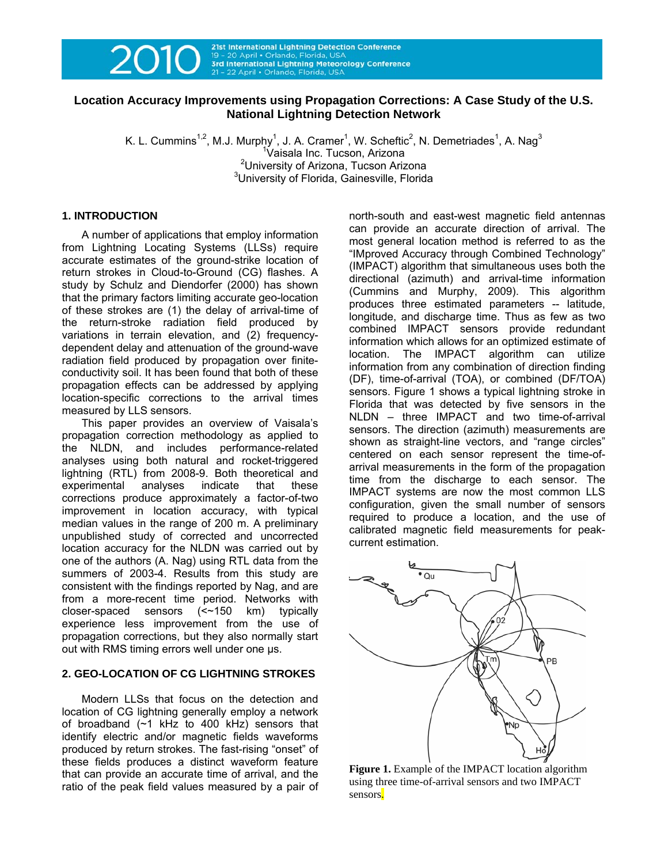

21st International Lightning Detection Conference 19 - 20 April · Orlando, Florida, US 3rd International Lightning Meteorology Conference 21 - 22 April · Orlando, Florida, USA

# **Location Accuracy Improvements using Propagation Corrections: A Case Study of the U.S. National Lightning Detection Network**

K. L. Cummins<sup>1,2</sup>, M.J. Murphy<sup>1</sup>, J. A. Cramer<sup>1</sup>, W. Scheftic<sup>2</sup>, N. Demetriades<sup>1</sup>, A. Nag<sup>3</sup> <sup>1</sup>Vaisala Inc. Tucson, Arizona <sup>2</sup> University of Arizona, Tucson Arizona<br><sup>3</sup> University of Florida, Cainopville, Florida <sup>3</sup>University of Florida, Gainesville, Florida

## **1. INTRODUCTION**

A number of applications that employ information from Lightning Locating Systems (LLSs) require accurate estimates of the ground-strike location of return strokes in Cloud-to-Ground (CG) flashes. A study by Schulz and Diendorfer (2000) has shown that the primary factors limiting accurate geo-location of these strokes are (1) the delay of arrival-time of the return-stroke radiation field produced by variations in terrain elevation, and (2) frequencydependent delay and attenuation of the ground-wave radiation field produced by propagation over finiteconductivity soil. It has been found that both of these propagation effects can be addressed by applying location-specific corrections to the arrival times measured by LLS sensors.

This paper provides an overview of Vaisala's propagation correction methodology as applied to the NLDN, and includes performance-related analyses using both natural and rocket-triggered lightning (RTL) from 2008-9. Both theoretical and experimental analyses indicate that these corrections produce approximately a factor-of-two improvement in location accuracy, with typical median values in the range of 200 m. A preliminary unpublished study of corrected and uncorrected location accuracy for the NLDN was carried out by one of the authors (A. Nag) using RTL data from the summers of 2003-4. Results from this study are consistent with the findings reported by Nag, and are from a more-recent time period. Networks with closer-spaced sensors (<~150 km) typically experience less improvement from the use of propagation corrections, but they also normally start out with RMS timing errors well under one µs.

## **2. GEO-LOCATION OF CG LIGHTNING STROKES**

Modern LLSs that focus on the detection and location of CG lightning generally employ a network of broadband (~1 kHz to 400 kHz) sensors that identify electric and/or magnetic fields waveforms produced by return strokes. The fast-rising "onset" of these fields produces a distinct waveform feature that can provide an accurate time of arrival, and the ratio of the peak field values measured by a pair of

north-south and east-west magnetic field antennas can provide an accurate direction of arrival. The most general location method is referred to as the "IMproved Accuracy through Combined Technology" (IMPACT) algorithm that simultaneous uses both the directional (azimuth) and arrival-time information (Cummins and Murphy, 2009). This algorithm produces three estimated parameters -- latitude, longitude, and discharge time. Thus as few as two combined IMPACT sensors provide redundant information which allows for an optimized estimate of location. The IMPACT algorithm can utilize information from any combination of direction finding (DF), time-of-arrival (TOA), or combined (DF/TOA) sensors. Figure 1 shows a typical lightning stroke in Florida that was detected by five sensors in the NLDN – three IMPACT and two time-of-arrival sensors. The direction (azimuth) measurements are shown as straight-line vectors, and "range circles" centered on each sensor represent the time-ofarrival measurements in the form of the propagation time from the discharge to each sensor. The IMPACT systems are now the most common LLS configuration, given the small number of sensors required to produce a location, and the use of calibrated magnetic field measurements for peakcurrent estimation.



**Figure 1.** Example of the IMPACT location algorithm using three time-of-arrival sensors and two IMPACT sensors.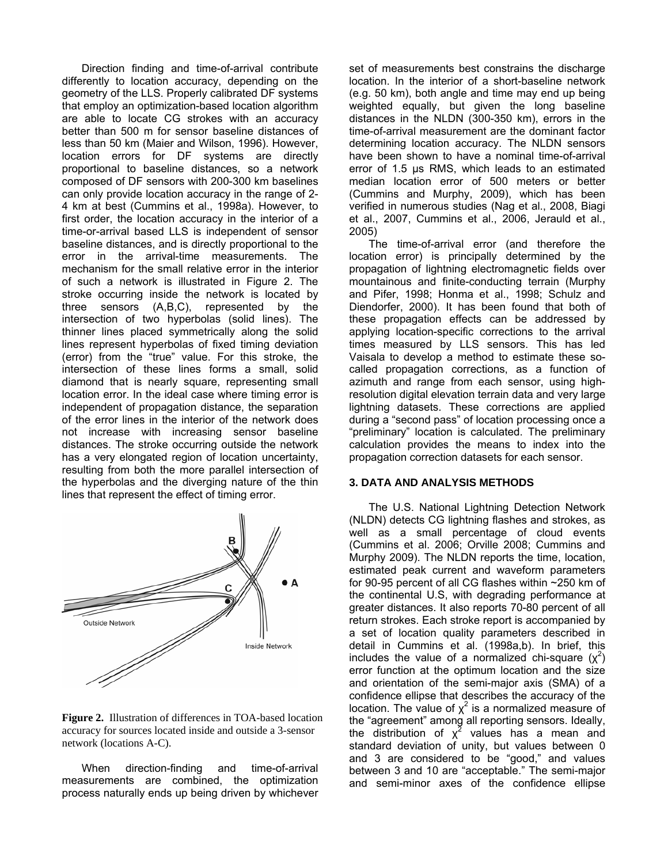Direction finding and time-of-arrival contribute differently to location accuracy, depending on the geometry of the LLS. Properly calibrated DF systems that employ an optimization-based location algorithm are able to locate CG strokes with an accuracy better than 500 m for sensor baseline distances of less than 50 km (Maier and Wilson, 1996). However, location errors for DF systems are directly proportional to baseline distances, so a network composed of DF sensors with 200-300 km baselines can only provide location accuracy in the range of 2- 4 km at best (Cummins et al., 1998a). However, to first order, the location accuracy in the interior of a time-or-arrival based LLS is independent of sensor baseline distances, and is directly proportional to the error in the arrival-time measurements. The mechanism for the small relative error in the interior of such a network is illustrated in Figure 2. The stroke occurring inside the network is located by three sensors (A,B,C), represented by the intersection of two hyperbolas (solid lines). The thinner lines placed symmetrically along the solid lines represent hyperbolas of fixed timing deviation (error) from the "true" value. For this stroke, the intersection of these lines forms a small, solid diamond that is nearly square, representing small location error. In the ideal case where timing error is independent of propagation distance, the separation of the error lines in the interior of the network does not increase with increasing sensor baseline distances. The stroke occurring outside the network has a very elongated region of location uncertainty, resulting from both the more parallel intersection of the hyperbolas and the diverging nature of the thin lines that represent the effect of timing error.



**Figure 2.** Illustration of differences in TOA-based location accuracy for sources located inside and outside a 3-sensor network (locations A-C).

When direction-finding and time-of-arrival measurements are combined, the optimization process naturally ends up being driven by whichever

set of measurements best constrains the discharge location. In the interior of a short-baseline network (e.g. 50 km), both angle and time may end up being weighted equally, but given the long baseline distances in the NLDN (300-350 km), errors in the time-of-arrival measurement are the dominant factor determining location accuracy. The NLDN sensors have been shown to have a nominal time-of-arrival error of 1.5 µs RMS, which leads to an estimated median location error of 500 meters or better (Cummins and Murphy, 2009), which has been verified in numerous studies (Nag et al., 2008, Biagi et al., 2007, Cummins et al., 2006, Jerauld et al., 2005)

The time-of-arrival error (and therefore the location error) is principally determined by the propagation of lightning electromagnetic fields over mountainous and finite-conducting terrain (Murphy and Pifer, 1998; Honma et al., 1998; Schulz and Diendorfer, 2000). It has been found that both of these propagation effects can be addressed by applying location-specific corrections to the arrival times measured by LLS sensors. This has led Vaisala to develop a method to estimate these socalled propagation corrections, as a function of azimuth and range from each sensor, using highresolution digital elevation terrain data and very large lightning datasets. These corrections are applied during a "second pass" of location processing once a "preliminary" location is calculated. The preliminary calculation provides the means to index into the propagation correction datasets for each sensor.

## **3. DATA AND ANALYSIS METHODS**

The U.S. National Lightning Detection Network (NLDN) detects CG lightning flashes and strokes, as well as a small percentage of cloud events (Cummins et al. 2006; Orville 2008; Cummins and Murphy 2009). The NLDN reports the time, location, estimated peak current and waveform parameters for 90-95 percent of all CG flashes within ~250 km of the continental U.S, with degrading performance at greater distances. It also reports 70-80 percent of all return strokes. Each stroke report is accompanied by a set of location quality parameters described in detail in Cummins et al. (1998a,b). In brief, this includes the value of a normalized chi-square  $(\chi^2)$ error function at the optimum location and the size and orientation of the semi-major axis (SMA) of a confidence ellipse that describes the accuracy of the location. The value of  $\chi^2$  is a normalized measure of the "agreement" among all reporting sensors. Ideally, the distribution of  $x^2$  values has a mean and standard deviation of unity, but values between 0 and 3 are considered to be "good," and values between 3 and 10 are "acceptable." The semi-major and semi-minor axes of the confidence ellipse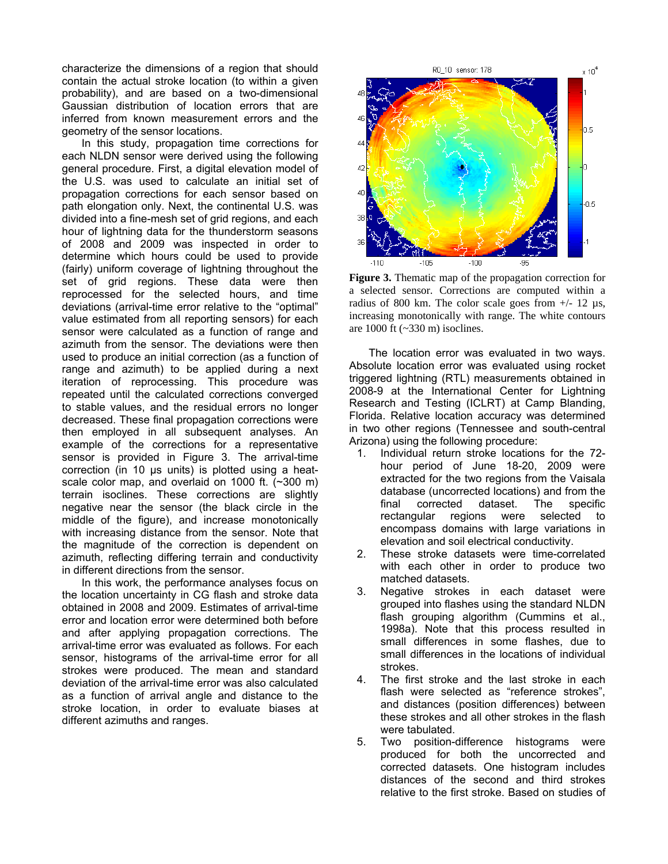characterize the dimensions of a region that should contain the actual stroke location (to within a given probability), and are based on a two-dimensional Gaussian distribution of location errors that are inferred from known measurement errors and the geometry of the sensor locations.

In this study, propagation time corrections for each NLDN sensor were derived using the following general procedure. First, a digital elevation model of the U.S. was used to calculate an initial set of propagation corrections for each sensor based on path elongation only. Next, the continental U.S. was divided into a fine-mesh set of grid regions, and each hour of lightning data for the thunderstorm seasons of 2008 and 2009 was inspected in order to determine which hours could be used to provide (fairly) uniform coverage of lightning throughout the set of grid regions. These data were then reprocessed for the selected hours, and time deviations (arrival-time error relative to the "optimal" value estimated from all reporting sensors) for each sensor were calculated as a function of range and azimuth from the sensor. The deviations were then used to produce an initial correction (as a function of range and azimuth) to be applied during a next iteration of reprocessing. This procedure was repeated until the calculated corrections converged to stable values, and the residual errors no longer decreased. These final propagation corrections were then employed in all subsequent analyses. An example of the corrections for a representative sensor is provided in Figure 3. The arrival-time correction (in 10 µs units) is plotted using a heatscale color map, and overlaid on 1000 ft. (~300 m) terrain isoclines. These corrections are slightly negative near the sensor (the black circle in the middle of the figure), and increase monotonically with increasing distance from the sensor. Note that the magnitude of the correction is dependent on azimuth, reflecting differing terrain and conductivity in different directions from the sensor.

In this work, the performance analyses focus on the location uncertainty in CG flash and stroke data obtained in 2008 and 2009. Estimates of arrival-time error and location error were determined both before and after applying propagation corrections. The arrival-time error was evaluated as follows. For each sensor, histograms of the arrival-time error for all strokes were produced. The mean and standard deviation of the arrival-time error was also calculated as a function of arrival angle and distance to the stroke location, in order to evaluate biases at different azimuths and ranges.



**Figure 3.** Thematic map of the propagation correction for a selected sensor. Corrections are computed within a radius of 800 km. The color scale goes from  $+/- 12 \mu s$ , increasing monotonically with range. The white contours are 1000 ft  $(-330 \text{ m})$  isoclines.

The location error was evaluated in two ways. Absolute location error was evaluated using rocket triggered lightning (RTL) measurements obtained in 2008-9 at the International Center for Lightning Research and Testing (ICLRT) at Camp Blanding, Florida. Relative location accuracy was determined in two other regions (Tennessee and south-central Arizona) using the following procedure:

- 1. Individual return stroke locations for the 72 hour period of June 18-20, 2009 were extracted for the two regions from the Vaisala database (uncorrected locations) and from the final corrected dataset. The specific rectangular regions were selected to encompass domains with large variations in elevation and soil electrical conductivity.
- 2. These stroke datasets were time-correlated with each other in order to produce two matched datasets.
- 3. Negative strokes in each dataset were grouped into flashes using the standard NLDN flash grouping algorithm (Cummins et al., 1998a). Note that this process resulted in small differences in some flashes, due to small differences in the locations of individual strokes.
- 4. The first stroke and the last stroke in each flash were selected as "reference strokes", and distances (position differences) between these strokes and all other strokes in the flash were tabulated.
- 5. Two position-difference histograms were produced for both the uncorrected and corrected datasets. One histogram includes distances of the second and third strokes relative to the first stroke. Based on studies of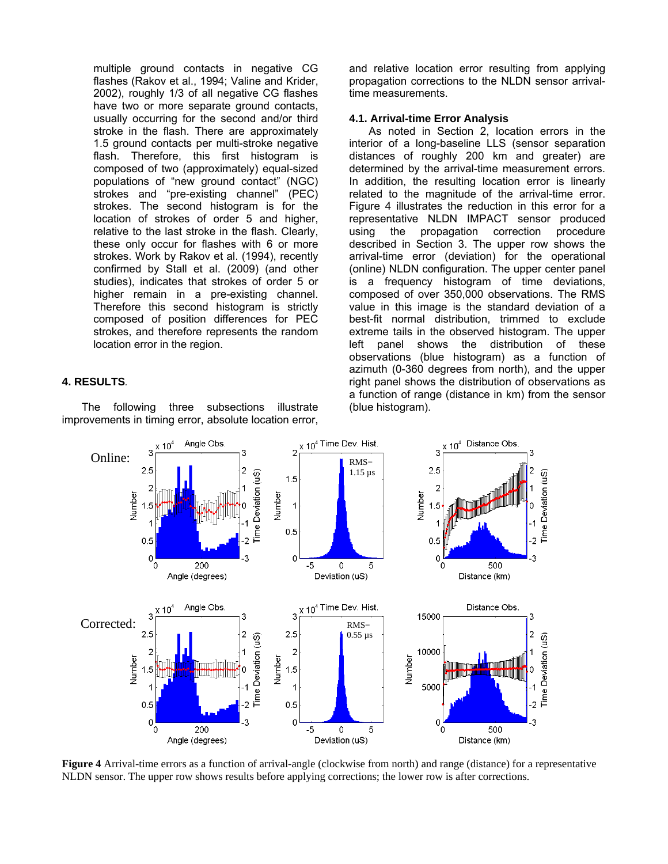multiple ground contacts in negative CG flashes (Rakov et al., 1994; Valine and Krider, 2002), roughly 1/3 of all negative CG flashes have two or more separate ground contacts, usually occurring for the second and/or third stroke in the flash. There are approximately 1.5 ground contacts per multi-stroke negative flash. Therefore, this first histogram is composed of two (approximately) equal-sized populations of "new ground contact" (NGC) strokes and "pre-existing channel" (PEC) strokes. The second histogram is for the location of strokes of order 5 and higher, relative to the last stroke in the flash. Clearly, these only occur for flashes with 6 or more strokes. Work by Rakov et al. (1994), recently confirmed by Stall et al. (2009) (and other studies), indicates that strokes of order 5 or higher remain in a pre-existing channel. Therefore this second histogram is strictly composed of position differences for PEC strokes, and therefore represents the random location error in the region.

## **4. RESULTS***.*

The following three subsections illustrate improvements in timing error, absolute location error, and relative location error resulting from applying propagation corrections to the NLDN sensor arrivaltime measurements.

#### **4.1. Arrival-time Error Analysis**

As noted in Section 2, location errors in the interior of a long-baseline LLS (sensor separation distances of roughly 200 km and greater) are determined by the arrival-time measurement errors. In addition, the resulting location error is linearly related to the magnitude of the arrival-time error. Figure 4 illustrates the reduction in this error for a representative NLDN IMPACT sensor produced using the propagation correction procedure described in Section 3. The upper row shows the arrival-time error (deviation) for the operational (online) NLDN configuration. The upper center panel is a frequency histogram of time deviations, composed of over 350,000 observations. The RMS value in this image is the standard deviation of a best-fit normal distribution, trimmed to exclude extreme tails in the observed histogram. The upper left panel shows the distribution of these observations (blue histogram) as a function of azimuth (0-360 degrees from north), and the upper right panel shows the distribution of observations as a function of range (distance in km) from the sensor (blue histogram).



**Figure 4** Arrival-time errors as a function of arrival-angle (clockwise from north) and range (distance) for a representative NLDN sensor. The upper row shows results before applying corrections; the lower row is after corrections.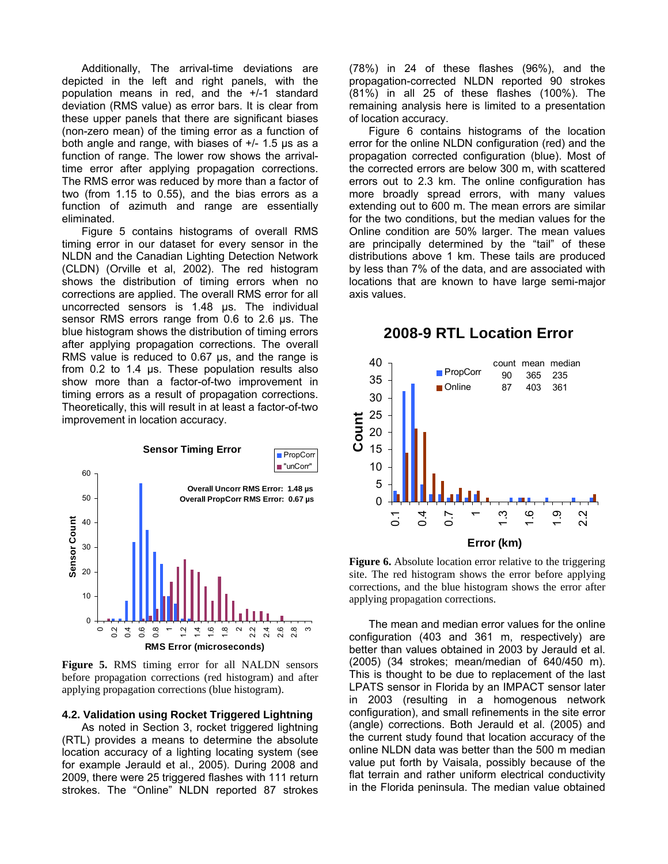Additionally, The arrival-time deviations are depicted in the left and right panels, with the population means in red, and the +/-1 standard deviation (RMS value) as error bars. It is clear from these upper panels that there are significant biases (non-zero mean) of the timing error as a function of both angle and range, with biases of +/- 1.5 µs as a function of range. The lower row shows the arrivaltime error after applying propagation corrections. The RMS error was reduced by more than a factor of two (from 1.15 to 0.55), and the bias errors as a function of azimuth and range are essentially eliminated.

Figure 5 contains histograms of overall RMS timing error in our dataset for every sensor in the NLDN and the Canadian Lighting Detection Network (CLDN) (Orville et al, 2002). The red histogram shows the distribution of timing errors when no corrections are applied. The overall RMS error for all uncorrected sensors is 1.48 µs. The individual sensor RMS errors range from 0.6 to 2.6 µs. The blue histogram shows the distribution of timing errors after applying propagation corrections. The overall RMS value is reduced to 0.67 us, and the range is from 0.2 to 1.4 µs. These population results also show more than a factor-of-two improvement in timing errors as a result of propagation corrections. Theoretically, this will result in at least a factor-of-two improvement in location accuracy.





#### **4.2. Validation using Rocket Triggered Lightning**

As noted in Section 3, rocket triggered lightning (RTL) provides a means to determine the absolute location accuracy of a lighting locating system (see for example Jerauld et al., 2005). During 2008 and 2009, there were 25 triggered flashes with 111 return strokes. The "Online" NLDN reported 87 strokes

(78%) in 24 of these flashes (96%), and the propagation-corrected NLDN reported 90 strokes (81%) in all 25 of these flashes (100%). The remaining analysis here is limited to a presentation of location accuracy.

Figure 6 contains histograms of the location error for the online NLDN configuration (red) and the propagation corrected configuration (blue). Most of the corrected errors are below 300 m, with scattered errors out to 2.3 km. The online configuration has more broadly spread errors, with many values extending out to 600 m. The mean errors are similar for the two conditions, but the median values for the Online condition are 50% larger. The mean values are principally determined by the "tail" of these distributions above 1 km. These tails are produced by less than 7% of the data, and are associated with locations that are known to have large semi-major axis values.

# **2008-9 RTL Location Error**



**Figure 6.** Absolute location error relative to the triggering site. The red histogram shows the error before applying corrections, and the blue histogram shows the error after applying propagation corrections.

The mean and median error values for the online configuration (403 and 361 m, respectively) are better than values obtained in 2003 by Jerauld et al. (2005) (34 strokes; mean/median of 640/450 m). This is thought to be due to replacement of the last LPATS sensor in Florida by an IMPACT sensor later in 2003 (resulting in a homogenous network configuration), and small refinements in the site error (angle) corrections. Both Jerauld et al. (2005) and the current study found that location accuracy of the online NLDN data was better than the 500 m median value put forth by Vaisala, possibly because of the flat terrain and rather uniform electrical conductivity in the Florida peninsula. The median value obtained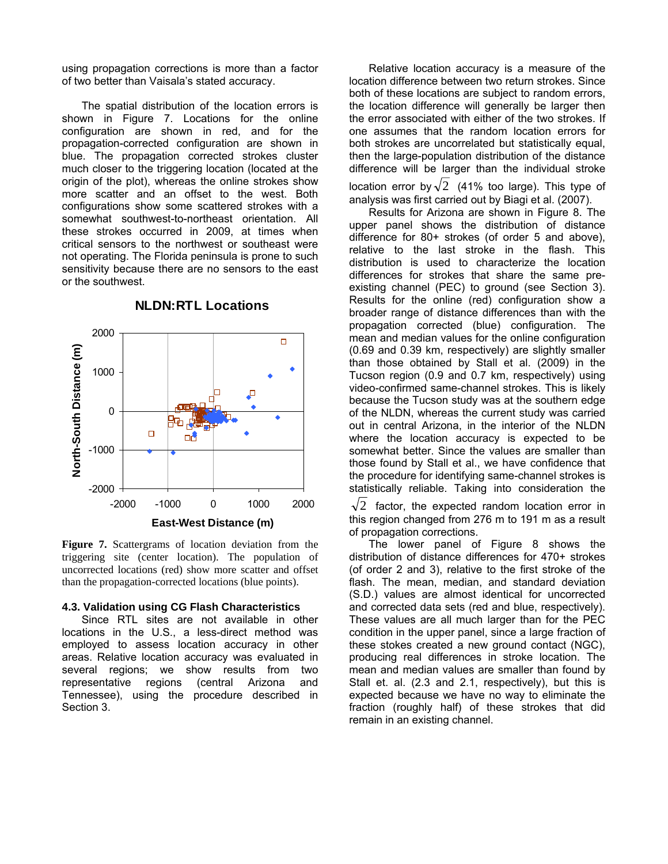using propagation corrections is more than a factor of two better than Vaisala's stated accuracy.

The spatial distribution of the location errors is shown in Figure 7. Locations for the online configuration are shown in red, and for the propagation-corrected configuration are shown in blue. The propagation corrected strokes cluster much closer to the triggering location (located at the origin of the plot), whereas the online strokes show more scatter and an offset to the west. Both configurations show some scattered strokes with a somewhat southwest-to-northeast orientation. All these strokes occurred in 2009, at times when critical sensors to the northwest or southeast were not operating. The Florida peninsula is prone to such sensitivity because there are no sensors to the east or the southwest.



**NLDN:RTL Locations** 

**Figure 7.** Scattergrams of location deviation from the triggering site (center location). The population of uncorrected locations (red) show more scatter and offset than the propagation-corrected locations (blue points).

#### **4.3. Validation using CG Flash Characteristics**

Since RTL sites are not available in other locations in the U.S., a less-direct method was employed to assess location accuracy in other areas. Relative location accuracy was evaluated in several regions; we show results from two representative regions (central Arizona and Tennessee), using the procedure described in Section 3.

Relative location accuracy is a measure of the location difference between two return strokes. Since both of these locations are subject to random errors, the location difference will generally be larger then the error associated with either of the two strokes. If one assumes that the random location errors for both strokes are uncorrelated but statistically equal, then the large-population distribution of the distance difference will be larger than the individual stroke location error by  $\sqrt{2}$  (41% too large). This type of analysis was first carried out by Biagi et al. (2007).

Results for Arizona are shown in Figure 8. The upper panel shows the distribution of distance difference for 80+ strokes (of order 5 and above), relative to the last stroke in the flash. This distribution is used to characterize the location differences for strokes that share the same preexisting channel (PEC) to ground (see Section 3). Results for the online (red) configuration show a broader range of distance differences than with the propagation corrected (blue) configuration. The mean and median values for the online configuration (0.69 and 0.39 km, respectively) are slightly smaller than those obtained by Stall et al. (2009) in the Tucson region (0.9 and 0.7 km, respectively) using video-confirmed same-channel strokes. This is likely because the Tucson study was at the southern edge of the NLDN, whereas the current study was carried out in central Arizona, in the interior of the NLDN where the location accuracy is expected to be somewhat better. Since the values are smaller than those found by Stall et al., we have confidence that the procedure for identifying same-channel strokes is statistically reliable. Taking into consideration the

 $\sqrt{2}$  factor, the expected random location error in this region changed from 276 m to 191 m as a result of propagation corrections.

The lower panel of Figure 8 shows the distribution of distance differences for 470+ strokes (of order 2 and 3), relative to the first stroke of the flash. The mean, median, and standard deviation (S.D.) values are almost identical for uncorrected and corrected data sets (red and blue, respectively). These values are all much larger than for the PEC condition in the upper panel, since a large fraction of these stokes created a new ground contact (NGC), producing real differences in stroke location. The mean and median values are smaller than found by Stall et. al. (2.3 and 2.1, respectively), but this is expected because we have no way to eliminate the fraction (roughly half) of these strokes that did remain in an existing channel.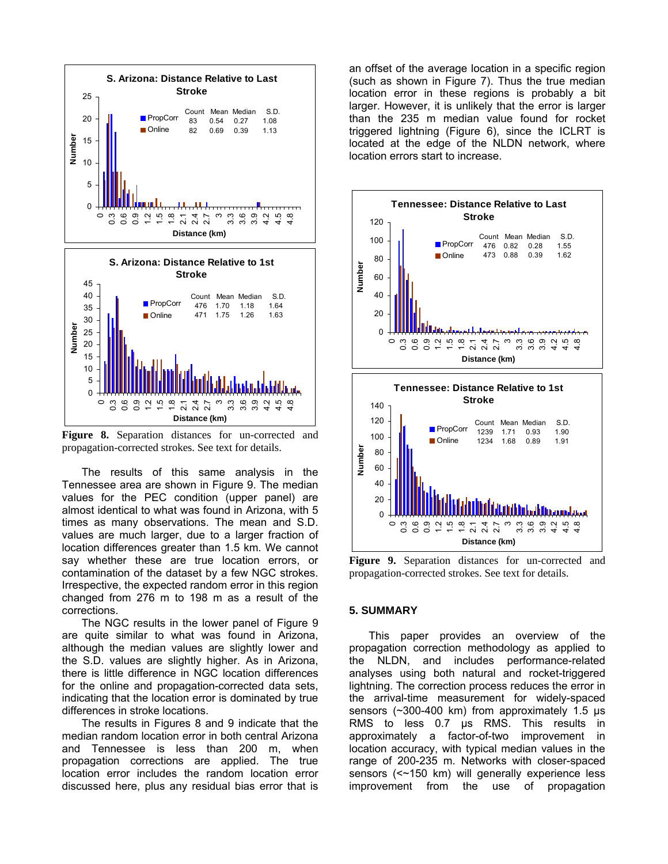

**Figure 8.** Separation distances for un-corrected and propagation-corrected strokes. See text for details.

The results of this same analysis in the Tennessee area are shown in Figure 9. The median values for the PEC condition (upper panel) are almost identical to what was found in Arizona, with 5 times as many observations. The mean and S.D. values are much larger, due to a larger fraction of location differences greater than 1.5 km. We cannot say whether these are true location errors, or contamination of the dataset by a few NGC strokes. Irrespective, the expected random error in this region changed from 276 m to 198 m as a result of the corrections.

The NGC results in the lower panel of Figure 9 are quite similar to what was found in Arizona, although the median values are slightly lower and the S.D. values are slightly higher. As in Arizona, there is little difference in NGC location differences for the online and propagation-corrected data sets, indicating that the location error is dominated by true differences in stroke locations.

The results in Figures 8 and 9 indicate that the median random location error in both central Arizona and Tennessee is less than 200 m, when propagation corrections are applied. The true location error includes the random location error discussed here, plus any residual bias error that is an offset of the average location in a specific region (such as shown in Figure 7). Thus the true median location error in these regions is probably a bit larger. However, it is unlikely that the error is larger than the 235 m median value found for rocket triggered lightning (Figure 6), since the ICLRT is located at the edge of the NLDN network, where location errors start to increase.



**Figure 9.** Separation distances for un-corrected and propagation-corrected strokes. See text for details.

#### **5. SUMMARY**

This paper provides an overview of the propagation correction methodology as applied to the NLDN, and includes performance-related analyses using both natural and rocket-triggered lightning. The correction process reduces the error in the arrival-time measurement for widely-spaced sensors (~300-400 km) from approximately 1.5 µs RMS to less 0.7 µs RMS. This results in approximately a factor-of-two improvement in location accuracy, with typical median values in the range of 200-235 m. Networks with closer-spaced sensors (<~150 km) will generally experience less improvement from the use of propagation